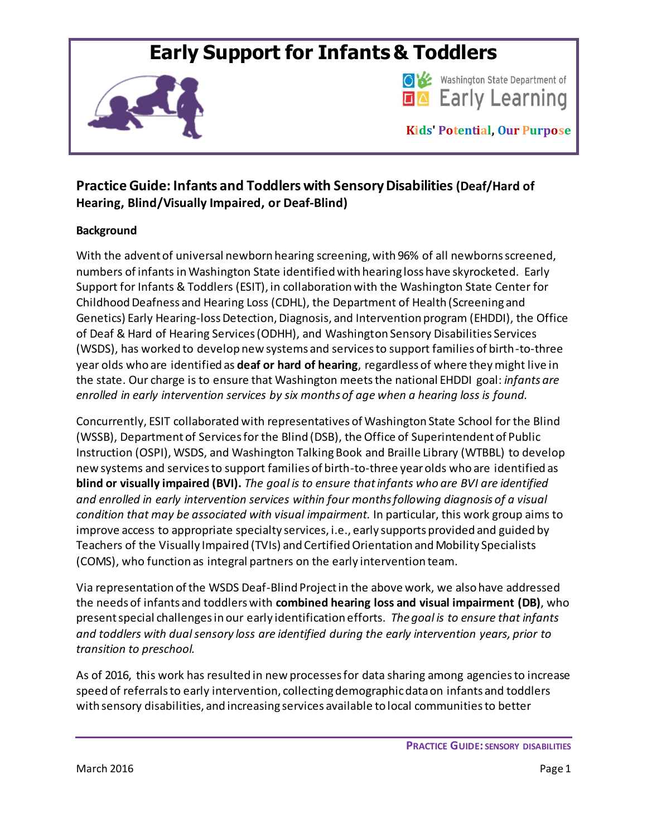# **Early Support for Infants & Toddlers**





**Kids' Potential, Our Purpose**

# **Practice Guide: Infants and Toddlers with Sensory Disabilities (Deaf/Hard of Hearing, Blind/Visually Impaired, or Deaf-Blind)**

# **Background**

With the advent of universal newborn hearing screening, with 96% of all newborns screened, numbers of infants in Washington State identified with hearing loss have skyrocketed. Early Support for Infants & Toddlers (ESIT), in collaboration with the Washington State Center for Childhood Deafness and Hearing Loss (CDHL), the Department of Health (Screening and Genetics) Early Hearing-loss Detection, Diagnosis, and Intervention program (EHDDI), the Office of Deaf & Hard of Hearing Services (ODHH), and Washington Sensory Disabilities Services (WSDS), has worked to develop new systems and services to support families of birth-to-three year olds who are identified as **deaf or hard of hearing**, regardless of where they might live in the state. Our charge is to ensure that Washington meets the national EHDDI goal: *infants are enrolled in early intervention services by six months of age when a hearing loss is found.* 

Concurrently, ESIT collaborated with representatives of Washington State School for the Blind (WSSB), Department of Services for the Blind (DSB), the Office of Superintendent of Public Instruction (OSPI), WSDS, and Washington Talking Book and Braille Library (WTBBL) to develop new systems and services to support families of birth-to-three year olds who are identified as **blind or visually impaired (BVI).** *The goal is to ensure that infants who are BVI are identified and enrolled in early intervention services within four months following diagnosis of a visual condition that may be associated with visual impairment.* In particular, this work group aims to improve access to appropriate specialty services, i.e., early supports provided and guided by Teachers of the Visually Impaired (TVIs) and Certified Orientation and Mobility Specialists (COMS), who function as integral partners on the early intervention team.

Via representation of the WSDS Deaf-Blind Project in the above work, we also have addressed the needs of infants and toddlers with **combined hearing loss and visual impairment (DB)**, who present special challenges in our early identification efforts. *The goal is to ensure that infants and toddlers with dual sensory loss are identified during the early intervention years, prior to transition to preschool.* 

As of 2016, this work has resulted in new processes for data sharing among agencies to increase speed of referrals to early intervention, collecting demographic data on infants and toddlers with sensory disabilities, and increasing services available to local communities to better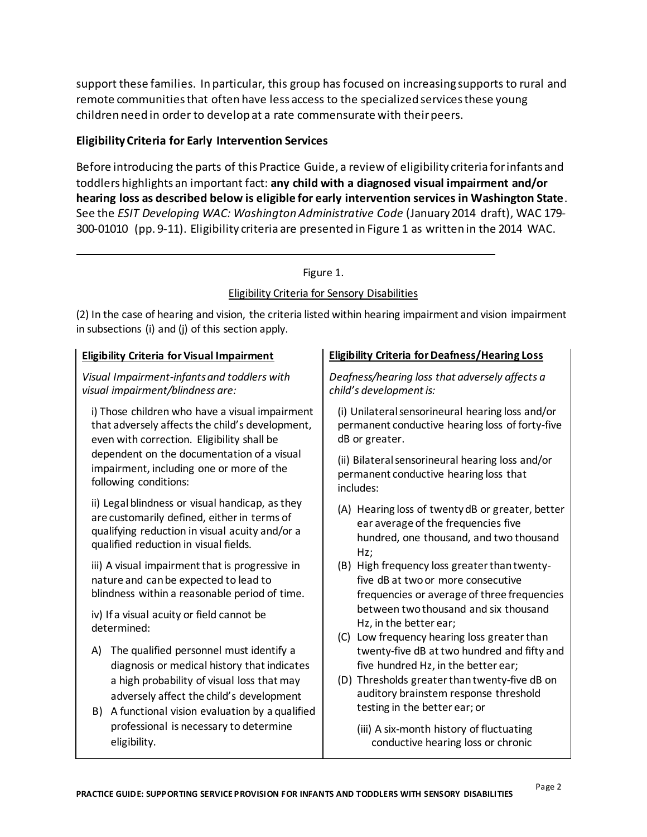support these families. In particular, this group has focused on increasing supports to rural and remote communities that often have less access to the specialized services these young children need in order to develop at a rate commensurate with their peers.

#### **Eligibility Criteria for Early Intervention Services**

Before introducing the parts of this Practice Guide, a review of eligibility criteria for infants and toddlers highlights an important fact: **any child with a diagnosed visual impairment and/or hearing loss as described below is eligible for early intervention services in Washington State**. See the *ESIT Developing WAC: Washington Administrative Code* (January 2014 draft), WAC 179- 300-01010 (pp. 9-11). Eligibility criteria are presented in Figure 1 as written in the 2014 WAC.

#### Figure 1.

### Eligibility Criteria for Sensory Disabilities

(2) In the case of hearing and vision, the criteria listed within hearing impairment and vision impairment in subsections (i) and (j) of this section apply.

*Visual Impairment-infants and toddlers with visual impairment/blindness are:*

i) Those children who have a visual impairment that adversely affects the child's development, even with correction. Eligibility shall be dependent on the documentation of a visual impairment, including one or more of the following conditions:

ii) Legal blindness or visual handicap, as they are customarily defined, either in terms of qualifying reduction in visual acuity and/or a qualified reduction in visual fields.

iii) A visual impairment that is progressive in nature and can be expected to lead to blindness within a reasonable period of time.

iv) If a visual acuity or field cannot be determined:

- A) The qualified personnel must identify a diagnosis or medical history that indicates a high probability of visual loss that may adversely affect the child's development
- B) A functional vision evaluation by a qualified professional is necessary to determine eligibility.

#### **Eligibility Criteria for Visual Impairment Eligibility Criteria for Deafness/Hearing Loss**

*Deafness/hearing loss that adversely affects a child's development is:*

(i) Unilateral sensorineural hearing loss and/or permanent conductive hearing loss of forty-five dB or greater.

(ii) Bilateral sensorineural hearing loss and/or permanent conductive hearing loss that includes:

- (A) Hearing loss of twenty dB or greater, better ear average of the frequencies five hundred, one thousand, and two thousand Hz;
- (B) High frequency loss greater than twentyfive dB at two or more consecutive frequencies or average of three frequencies between two thousand and six thousand Hz, in the better ear;
- (C) Low frequency hearing loss greater than twenty-five dB at two hundred and fifty and five hundred Hz, in the better ear;
- (D) Thresholds greater than twenty-five dB on auditory brainstem response threshold testing in the better ear; or
	- (iii) A six-month history of fluctuating conductive hearing loss or chronic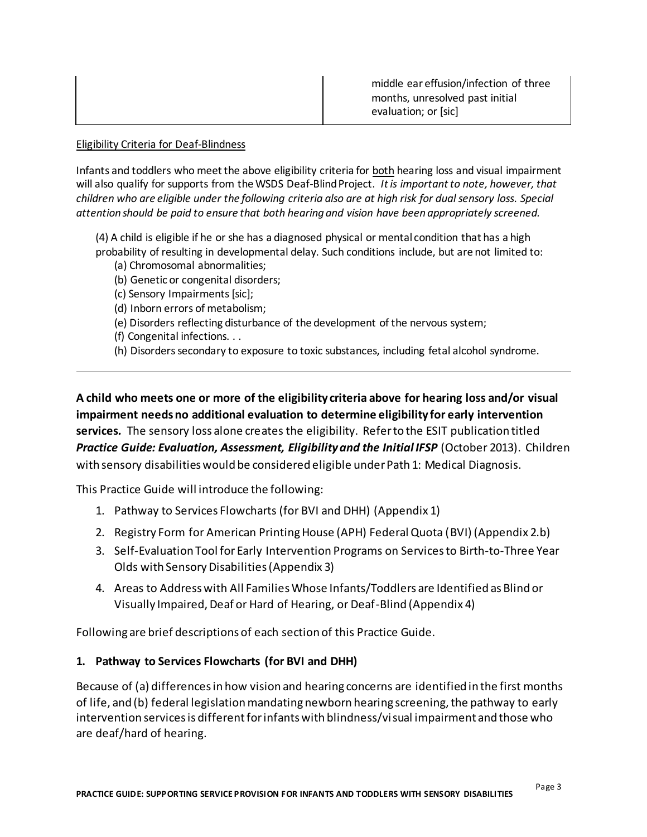|  | middle ear effusion/infection of three<br>months, unresolved past initial<br>evaluation; or [sic] |
|--|---------------------------------------------------------------------------------------------------|
|--|---------------------------------------------------------------------------------------------------|

#### Eligibility Criteria for Deaf-Blindness

Infants and toddlers who meet the above eligibility criteria for both hearing loss and visual impairment will also qualify for supports from the WSDS Deaf-Blind Project. *It is important to note, however, that children who are eligible under the following criteria also are at high risk for dual sensory loss. Special attention should be paid to ensure that both hearing and vision have been appropriately screened.* 

(4) A child is eligible if he or she has a diagnosed physical or mental condition that has a high probability of resulting in developmental delay. Such conditions include, but are not limited to:

- (a) Chromosomal abnormalities;
- (b) Genetic or congenital disorders;
- (c) Sensory Impairments [sic];
- (d) Inborn errors of metabolism;
- (e) Disorders reflecting disturbance of the development of the nervous system;
- (f) Congenital infections. . .
- (h) Disorders secondary to exposure to toxic substances, including fetal alcohol syndrome.

**A child who meets one or more of the eligibility criteria above for hearing loss and/or visual impairment needs no additional evaluation to determine eligibility for early intervention services***.* The sensory loss alone creates the eligibility. Refer to the ESIT publication titled *Practice Guide: Evaluation, Assessment, Eligibility and the Initial IFSP* (October 2013). Children with sensory disabilities would be considered eligible under Path 1: Medical Diagnosis.

This Practice Guide will introduce the following:

- 1. Pathway to Services Flowcharts (for BVI and DHH) (Appendix 1)
- 2. Registry Form for American Printing House (APH) Federal Quota (BVI) (Appendix 2.b)
- 3. Self-Evaluation Tool for Early Intervention Programs on Services to Birth-to-Three Year Olds with Sensory Disabilities (Appendix 3)
- 4. Areas to Address with All Families Whose Infants/Toddlers are Identified as Blind or Visually Impaired, Deaf or Hard of Hearing, or Deaf-Blind (Appendix 4)

Following are brief descriptions of each section of this Practice Guide.

#### **1. Pathway to Services Flowcharts (for BVI and DHH)**

Because of (a) differences in how vision and hearing concerns are identified in the first months of life, and (b) federal legislation mandating newborn hearing screening, the pathway to early intervention services is different for infants with blindness/visual impairment and those who are deaf/hard of hearing.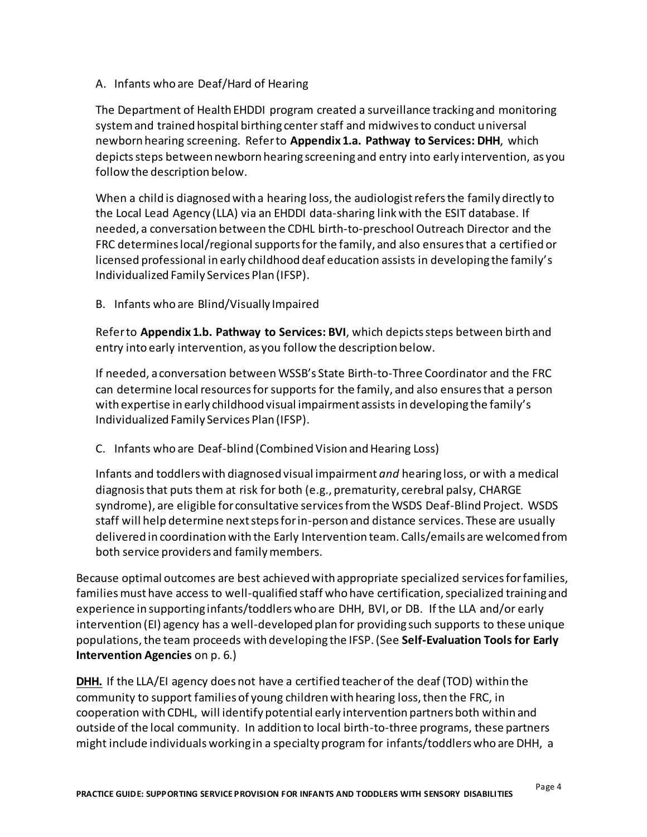A. Infants who are Deaf/Hard of Hearing

The Department of Health EHDDI program created a surveillance tracking and monitoring system and trained hospital birthing center staff and midwives to conduct universal newborn hearing screening. Refer to **Appendix 1.a. Pathway to Services: DHH**, which depicts steps between newborn hearing screening and entry into early intervention, as you follow the description below.

When a child is diagnosed with a hearing loss, the audiologist refers the family directly to the Local Lead Agency (LLA) via an EHDDI data-sharing link with the ESIT database. If needed, a conversation between the CDHL birth-to-preschool Outreach Director and the FRC determines local/regional supports for the family, and also ensures that a certified or licensed professional in early childhood deaf education assists in developing the family's Individualized Family Services Plan (IFSP).

B. Infants who are Blind/Visually Impaired

Refer to **Appendix 1.b. Pathway to Services: BVI**, which depicts steps between birth and entry into early intervention, as you follow the description below.

If needed, a conversation between WSSB's State Birth-to-Three Coordinator and the FRC can determine local resourcesfor supports for the family, and also ensures that a person with expertise in early childhood visual impairment assists in developing the family's Individualized Family Services Plan (IFSP).

C. Infants who are Deaf-blind (Combined Vision and Hearing Loss)

Infants and toddlers with diagnosed visual impairment *and* hearing loss, or with a medical diagnosis that puts them at risk for both (e.g., prematurity, cerebral palsy, CHARGE syndrome), are eligible for consultative services fromthe WSDS Deaf-Blind Project. WSDS staff will help determine next steps for in-person and distance services. These are usually delivered in coordination with the Early Intervention team. Calls/emails are welcomed from both service providers and family members.

Because optimal outcomes are best achieved with appropriate specialized services for families, families must have access to well-qualified staff who have certification, specialized training and experience in supporting infants/toddlers who are DHH, BVI, or DB. If the LLA and/or early intervention (EI) agency has a well-developed plan for providing such supports to these unique populations, the team proceeds with developing the IFSP. (See **Self-Evaluation Toolsfor Early Intervention Agencies** on p. 6.)

**DHH.** If the LLA/EI agency does not have a certified teacher of the deaf (TOD) within the community to support families of young children with hearing loss, then the FRC, in cooperation with CDHL, will identify potential early intervention partners both within and outside of the local community. In addition to local birth-to-three programs, these partners might include individuals working in a specialty program for infants/toddlers who are DHH, a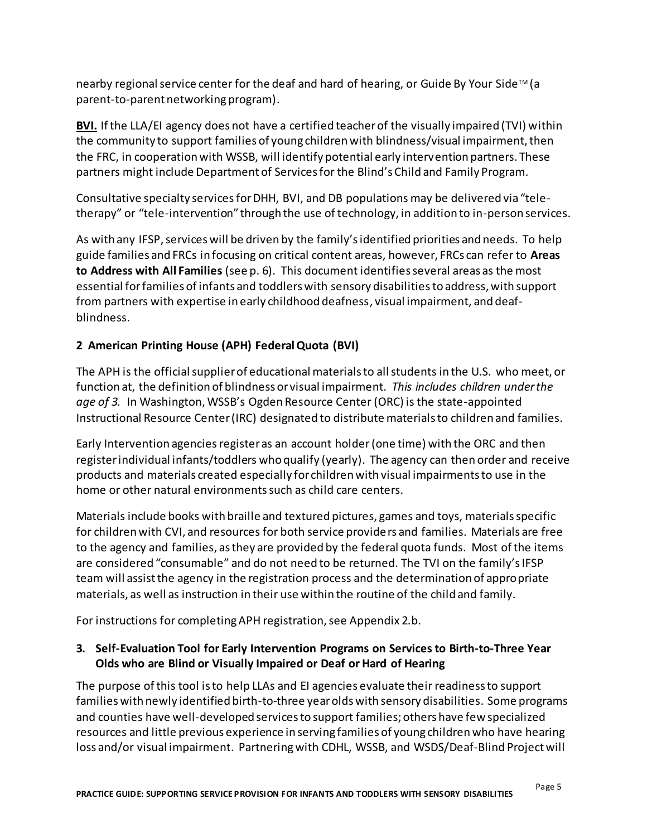nearby regional service center for the deaf and hard of hearing, or Guide By Your Side™ (a parent-to-parent networking program).

**BVI.** If the LLA/EI agency does not have a certified teacher of the visually impaired (TVI) within the community to support families of young children with blindness/visual impairment, then the FRC, in cooperation with WSSB, will identify potential early intervention partners. These partners might include Department of Services for the Blind's Child and Family Program.

Consultative specialty services for DHH, BVI, and DB populations may be delivered via "teletherapy" or "tele-intervention" through the use of technology, in addition to in-person services.

As with any IFSP, services will be driven by the family's identified priorities and needs. To help guide families and FRCs in focusing on critical content areas, however, FRCs can refer to **Areas to Address with All Families** (see p. 6). This document identifies several areas as the most essential for families of infants and toddlers with sensory disabilitiesto address, with support from partners with expertise in early childhood deafness, visual impairment, and deafblindness.

# **2 American Printing House (APH) Federal Quota (BVI)**

The APH is the official supplier of educational materials to all students in the U.S. who meet, or function at, the definition of blindness or visual impairment. *This includes children under the age of 3.* In Washington, WSSB's Ogden Resource Center (ORC) is the state-appointed Instructional Resource Center (IRC) designated to distribute materials to children and families.

Early Intervention agencies register as an account holder (one time) with the ORC and then register individual infants/toddlers who qualify (yearly). The agency can then order and receive products and materials created especially for children with visual impairments to use in the home or other natural environments such as child care centers.

Materials include books with braille and textured pictures, games and toys, materials specific for children with CVI, and resources for both service providers and families. Materials are free to the agency and families, as they are provided by the federal quota funds. Most of the items are considered "consumable" and do not need to be returned. The TVI on the family's IFSP team will assist the agency in the registration process and the determination of appropriate materials, as well as instruction in their use within the routine of the child and family.

For instructions for completing APH registration, see Appendix 2.b.

# **3. Self-Evaluation Tool for Early Intervention Programs on Services to Birth-to-Three Year Olds who are Blind or Visually Impaired or Deaf or Hard of Hearing**

The purpose of this tool is to help LLAs and EI agencies evaluate their readiness to support families with newly identified birth-to-three year olds with sensory disabilities. Some programs and counties have well-developed services to support families; others have few specialized resources and little previous experience in serving families of young children who have hearing loss and/or visual impairment. Partnering with CDHL, WSSB, and WSDS/Deaf-Blind Projectwill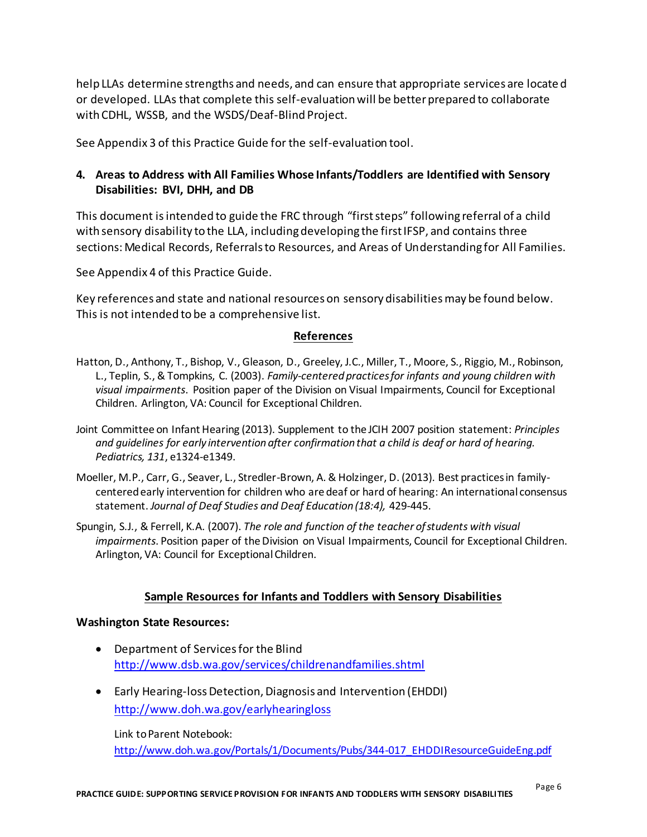help LLAs determine strengths and needs, and can ensure that appropriate services are locate d or developed. LLAs that complete this self-evaluation will be better prepared to collaborate with CDHL, WSSB, and the WSDS/Deaf-Blind Project.

See Appendix 3 of this Practice Guide for the self-evaluation tool.

## **4. Areas to Address with All Families Whose Infants/Toddlers are Identified with Sensory Disabilities: BVI, DHH, and DB**

This document isintended to guide the FRC through "first steps" following referral of a child with sensory disability to the LLA, including developing the first IFSP, and contains three sections: Medical Records, Referrals to Resources, and Areas of Understanding for All Families.

See Appendix 4 of this Practice Guide.

Key references and state and national resources on sensory disabilities may be found below. This is not intended to be a comprehensive list.

#### **References**

- Hatton, D., Anthony, T., Bishop, V., Gleason, D., Greeley, J.C., Miller, T., Moore, S., Riggio, M., Robinson, L., Teplin, S., & Tompkins, C. (2003). *Family-centered practices for infants and young children with visual impairments*. Position paper of the Division on Visual Impairments, Council for Exceptional Children. Arlington, VA: Council for Exceptional Children.
- Joint Committee on Infant Hearing (2013). Supplement to the JCIH 2007 position statement: *Principles and guidelines for early intervention after confirmation that a child is deaf or hard of hearing. Pediatrics, 131*, e1324-e1349.
- Moeller, M.P., Carr, G., Seaver, L., Stredler-Brown, A. & Holzinger, D. (2013). Best practices in familycentered early intervention for children who are deaf or hard of hearing: An international consensus statement. *Journal of Deaf Studies and Deaf Education (18:4),* 429-445.
- Spungin, S.J., & Ferrell, K.A. (2007). *The role and function of the teacher of students with visual impairments*. Position paper of the Division on Visual Impairments, Council for Exceptional Children. Arlington, VA: Council for Exceptional Children.

#### **Sample Resources for Infants and Toddlers with Sensory Disabilities**

#### **Washington State Resources:**

- Department of Services for the Blind <http://www.dsb.wa.gov/services/childrenandfamilies.shtml>
- Early Hearing-loss Detection, Diagnosis and Intervention (EHDDI) <http://www.doh.wa.gov/earlyhearingloss>

Link to Parent Notebook: [http://www.doh.wa.gov/Portals/1/Documents/Pubs/344-017\\_EHDDIResourceGuideEng.pdf](http://www.doh.wa.gov/Portals/1/Documents/Pubs/344-017_EHDDIResourceGuideEng.pdf)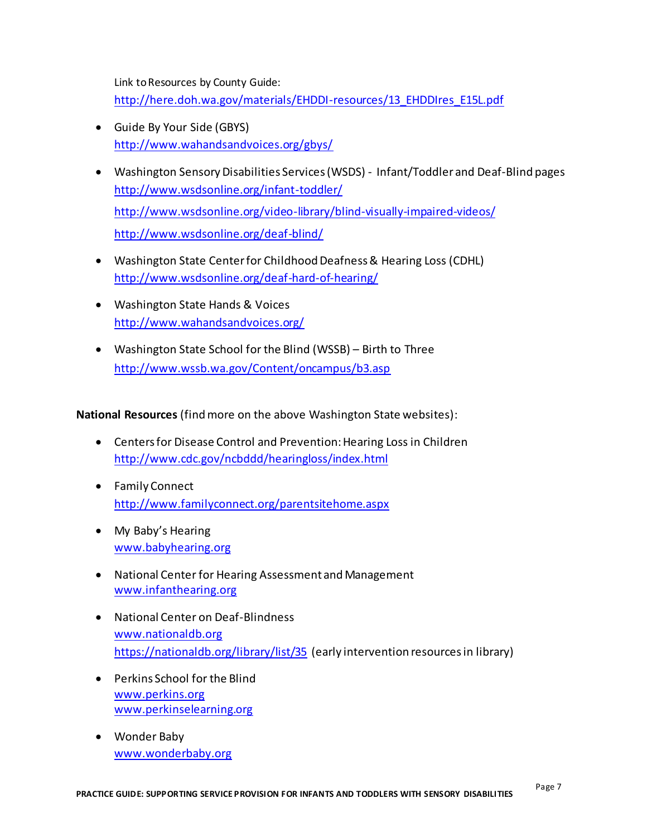Link to Resources by County Guide:

[http://here.doh.wa.gov/materials/EHDDI-resources/13\\_EHDDIres\\_E15L.pdf](http://here.doh.wa.gov/materials/EHDDI-resources/13_EHDDIres_E15L.pdf)

- Guide By Your Side (GBYS) <http://www.wahandsandvoices.org/gbys/>
- Washington Sensory Disabilities Services (WSDS) Infant/Toddler and Deaf-Blind pages <http://www.wsdsonline.org/infant-toddler/> <http://www.wsdsonline.org/video-library/blind-visually-impaired-videos/> <http://www.wsdsonline.org/deaf-blind/>
- Washington State Center for Childhood Deafness & Hearing Loss (CDHL) <http://www.wsdsonline.org/deaf-hard-of-hearing/>
- Washington State Hands & Voices <http://www.wahandsandvoices.org/>
- Washington State School for the Blind (WSSB) Birth to Three <http://www.wssb.wa.gov/Content/oncampus/b3.asp>

**National Resources** (find more on the above Washington State websites):

- Centers for Disease Control and Prevention: Hearing Loss in Children <http://www.cdc.gov/ncbddd/hearingloss/index.html>
- Family Connect <http://www.familyconnect.org/parentsitehome.aspx>
- My Baby's Hearing [www.babyhearing.org](http://www.babyhearing.org/)
- National Center for Hearing Assessment and Management [www.infanthearing.org](http://www.infanthearing.org/)
- National Center on Deaf-Blindness [www.nationaldb.org](http://www.nationaldb.org/) <https://nationaldb.org/library/list/35> (early intervention resources in library)
- Perkins School for the Blind [www.perkins.org](http://www.perkins.org/) [www.perkinselearning.org](http://www.perkinselearning.org/)
- Wonder Baby [www.wonderbaby.org](http://www.wonderbaby.org/)